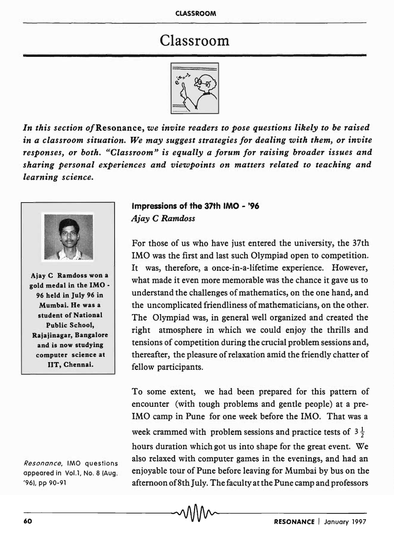# Classroom



*In this section of* Resonance, *we invite readers to pose questions likely to be raised in a classroom situation. We may suggest strategies for dealing with them, or invite responses, or both. "Classroom" is equally a forum for raising broader issues and sharing personal experiences and viewpoints on matters related to teaching and learning science.* 



Ajay C Ramdoss won a gold medal in the IMO • 96 held in July 96 in Mumbai. He was a student of National Public School, Rajajinagar, Bangalore and is now studying computer science at lIT, Chennai.

Resonance, IMO questions appeared in Vol.1, No. 8 (Aug. '96), pp 90-91

## Impressions of the 37th IMO - '96 *Ajay* C *Ramdoss*

For those of us who have just entered the university, the 37th IMO was the first and last such Olympiad open to competition. It was, therefore, a once-in-a-lifetime experience. However, what made it even more memorable was the chance it gave us to understand the challenges of mathematics, on the one hand, and the uncomplicated friendliness of mathematicians, on the other. The Olympiad was, in general well organized and created the right atmosphere in which we could enjoy the thrills and tensions of competition during the crucial problem sessions and, thereafter, the pleasure of relaxation amid the friendly chatter of fellow participants.

To some extent, we had been prepared for this pattern of encounter (with tough problems and gentle people) at a pre-IMO camp in Pune for one week before the IMO. That was a week crammed with problem sessions and practice tests of  $3\frac{1}{2}$ hours duration which got us into shape for the great event. We also relaxed with computer games in the evenings, and had an enjoyable tour of Pune before leaving for Mumbai by bus on the afternoon of 8th July. The faculty at the Pune camp and professors 96), pp 90-91<br>afternoon of 8th July. I he faculty at the Pune camp and professors<br>60 **v RESONANCE** | January 1997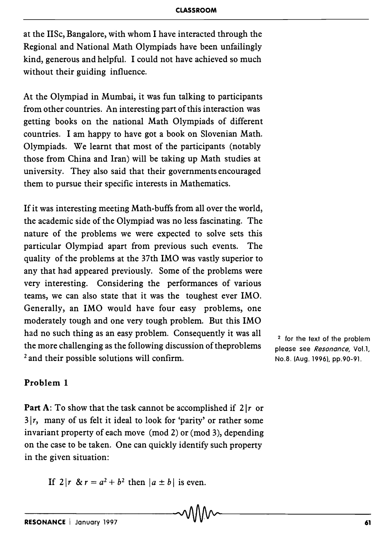at the lISe, Bangalore, with whom I have interacted through the Regional and National Math Olympiads have been unfailingly kind, generous and helpful. I could not have achieved so much without their guiding influence.

At the Olympiad in Mumbai, it was fun talking to participants from other countries. An interesting part of this interaction was getting books on the national Math Olympiads of different countries. I am happy to have got a book on Slovenian Math. Olympiads. We learnt that most of the participants (notably those from China and Iran) will be taking up Math studies at university. They also said that their governments encouraged them to pursue their specific interests in Mathematics.

If it was interesting meeting Math-buffs from all over the world, the academic side of the Olympiad was no less fascinating. The nature of the problems we were expected to solve sets this particular Olympiad apart from previous such events. The quality of the problems at the 37th IMO was vastly superior to any that had appeared previously. Some of the problems were very interesting. Considering the performances of various teams, we can also state that it was the toughest ever IMO. Generally, an IMO would have four easy problems, one moderately tough and one very tough problem. But this IMO had no such thing as an easy problem. Consequently it was all the more challenging as the following discussion of theproblems <sup>2</sup> and their possible solutions will confirm.

 $2$  for the text of the problem please see *Resonance,* VoLl, No.S. (Aug. 1996), pp.90-91.

## Problem 1

Part A: To show that the task cannot be accomplished if  $2|r$  or  $3/r$ , many of us felt it ideal to look for 'parity' or rather some invariant property of each move (mod 2) or (mod 3), depending on the case to be taken. One can quickly identify such property in the given situation:

If  $2|r \& r = a^2 + b^2$  then  $|a \pm b|$  is even.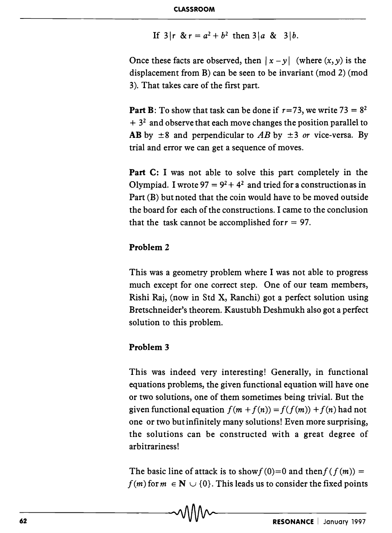If  $3|r \& r = a^2 + b^2$  then  $3|a \& 3|b$ .

Once these facts are observed, then  $|x - y|$  (where  $(x, y)$  is the displacement from B) can be seen to be invariant (mod 2) (mod 3). That takes care of the first part.

**Part B**: To show that task can be done if  $r=73$ , we write  $73 = 8^2$  $+3<sup>2</sup>$  and observe that each move changes the position parallel to **AB** by  $\pm 8$  and perpendicular to *AB* by  $\pm 3$  *or* vice-versa. By trial and error we can get a sequence of moves.

**Part** C: I was not able to solve this part completely in the Olympiad. I wrote  $97 = 9^2 + 4^2$  and tried for a construction as in Part (B) but noted that the coin would have to be moved outside the board for each of the constructions. I came to the conclusion that the task cannot be accomplished for  $r = 97$ .

## **Problem 2**

This was a geometry problem where I was not able to progress much except for one correct step. One of our team members, Rishi Raj, (now in Std X, Ranchi) got a perfect solution using Bretschneider's theorem. Kaustubh Deshmukh also got a perfect solution to this problem.

### **Problem 3**

This was indeed very interesting! Generally, in functional equations problems, the given functional equation will have one or two solutions, one of them sometimes being trivial. But the given functional equation  $f(m + f(n)) = f(f(m)) + f(n)$  had not one or two but infinitely many solutions! Even more surprising, the solutions can be constructed with a great degree of arbitrariness!

The basic line of attack is to show  $f(0)=0$  and then  $f(f(m))=0$  $f(m)$  for  $m \in \mathbb{N} \cup \{0\}$ . This leads us to consider the fixed points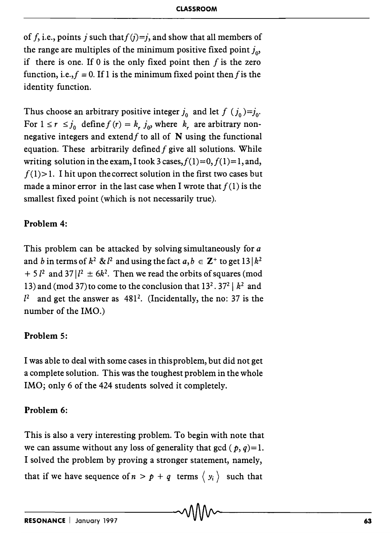of f, i.e., points j such that  $f(j)=j$ , and show that all members of the range are multiples of the minimum positive fixed point  $j_{\alpha}$ if there is one. If 0 is the only fixed point then  $f$  is the zero function, i.e.,  $f \equiv 0$ . If 1 is the minimum fixed point then f is the identity function.

Thus choose an arbitrary positive integer  $j_0$  and let  $f(j_0)=j_0$ . For  $1 \le r \le j_0$  define  $f(r) = k_r j_0$ , where  $k_r$  are arbitrary nonnegative integers and extend  $f$  to all of N using the functional equation. These arbitrarily defined  $f$  give all solutions. While writing solution in the exam, I took 3 cases,  $f(1)=0, f(1)=1,$  and,  $f(1)$  > 1. I hit upon the correct solution in the first two cases but made a minor error in the last case when I wrote that  $f(1)$  is the smallest fixed point (which is not necessarily true).

## **Problem 4:**

This problem can be attacked by solving simultaneously for *a*  and *b* in terms of  $k^2 \& l^2$  and using the fact  $a, b \in \mathbb{Z}^+$  to get  $13 \mid k^2$  $+ 5 l<sup>2</sup>$  and  $37 l<sup>2</sup> \pm 6 k<sup>2</sup>$ . Then we read the orbits of squares (mod 13) and (mod 37) to come to the conclusion that  $13^2 \cdot 37^2 \mid k^2$  and  $l^2$  and get the answer as 481<sup>2</sup>. (Incidentally, the no: 37 is the number of the IMO.)

## **Problem 5:**

I was able to deal with some cases in this problem, but did not get a complete solution. This was the toughest problem in the whole IMO; only 6 of the 424 students solved it completely.

## **Problem 6:**

This is also a very interesting problem. To begin with note that we can assume without any loss of generality that gcd  $(p, q)=1$ . I solved the problem by proving a stronger statement, namely, that if we have sequence of  $n > p + q$  terms  $\langle y_i \rangle$  such that